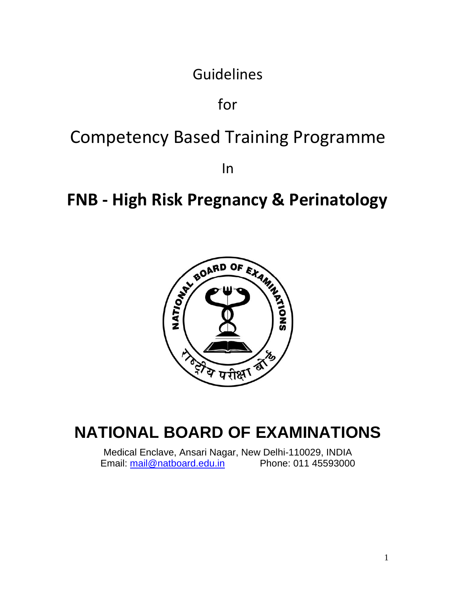Guidelines

for

# Competency Based Training Programme

In

# **FNB - High Risk Pregnancy & Perinatology**



# **NATIONAL BOARD OF EXAMINATIONS**

Medical Enclave, Ansari Nagar, New Delhi-110029, INDIA Email: [mail@natboard.edu.in](mailto:mail@natboard.edu.in) Phone: 011 45593000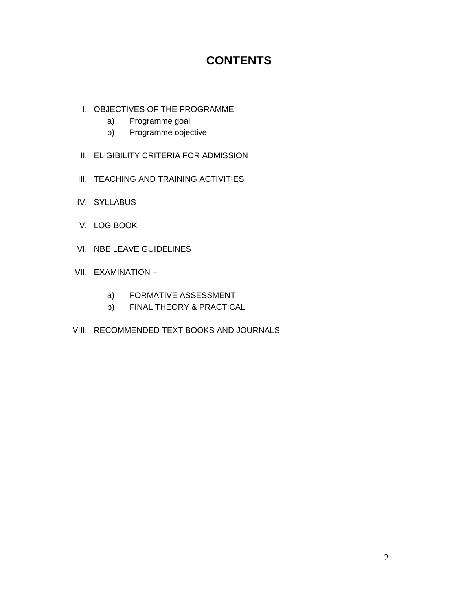# **CONTENTS**

- I. OBJECTIVES OF THE PROGRAMME
	- a) Programme goal
	- b) Programme objective
- II. ELIGIBILITY CRITERIA FOR ADMISSION
- III. TEACHING AND TRAINING ACTIVITIES
- IV. SYLLABUS
- V. LOG BOOK
- VI. NBE LEAVE GUIDELINES
- VII. EXAMINATION
	- a) FORMATIVE ASSESSMENT
	- b) FINAL THEORY & PRACTICAL
- VIII. RECOMMENDED TEXT BOOKS AND JOURNALS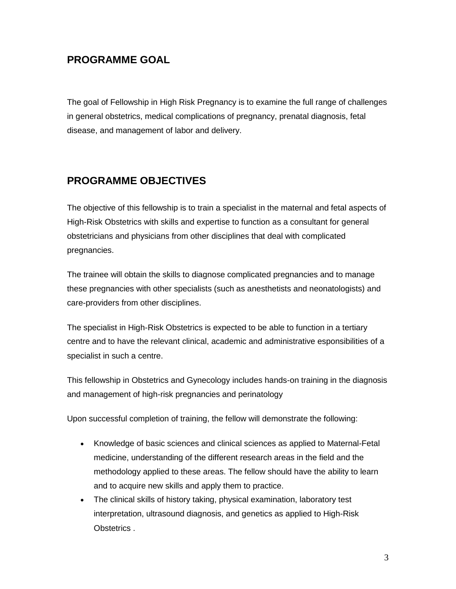# **PROGRAMME GOAL**

The goal of Fellowship in High Risk Pregnancy is to examine the full range of challenges in general obstetrics, medical complications of pregnancy, prenatal diagnosis, fetal disease, and management of labor and delivery.

# **PROGRAMME OBJECTIVES**

The objective of this fellowship is to train a specialist in the maternal and fetal aspects of High-Risk Obstetrics with skills and expertise to function as a consultant for general obstetricians and physicians from other disciplines that deal with complicated pregnancies.

The trainee will obtain the skills to diagnose complicated pregnancies and to manage these pregnancies with other specialists (such as anesthetists and neonatologists) and care-providers from other disciplines.

The specialist in High-Risk Obstetrics is expected to be able to function in a tertiary centre and to have the relevant clinical, academic and administrative esponsibilities of a specialist in such a centre.

This fellowship in Obstetrics and Gynecology includes hands-on training in the diagnosis and management of high-risk pregnancies and perinatology

Upon successful completion of training, the fellow will demonstrate the following:

- Knowledge of basic sciences and clinical sciences as applied to Maternal-Fetal medicine, understanding of the different research areas in the field and the methodology applied to these areas. The fellow should have the ability to learn and to acquire new skills and apply them to practice.
- The clinical skills of history taking, physical examination, laboratory test interpretation, ultrasound diagnosis, and genetics as applied to High-Risk Obstetrics .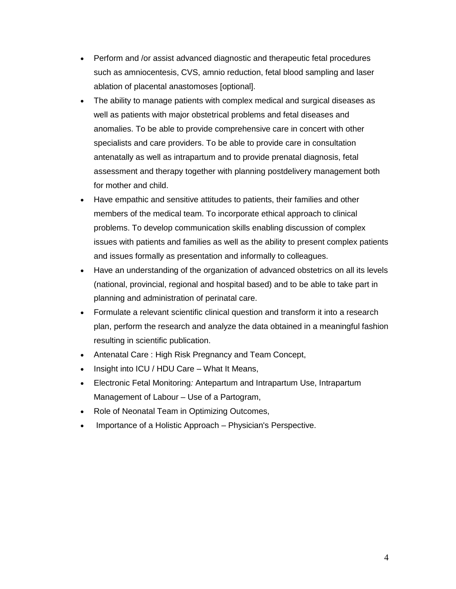- Perform and /or assist advanced diagnostic and therapeutic fetal procedures such as amniocentesis, CVS, amnio reduction, fetal blood sampling and laser ablation of placental anastomoses [optional].
- The ability to manage patients with complex medical and surgical diseases as well as patients with major obstetrical problems and fetal diseases and anomalies. To be able to provide comprehensive care in concert with other specialists and care providers. To be able to provide care in consultation antenatally as well as intrapartum and to provide prenatal diagnosis, fetal assessment and therapy together with planning postdelivery management both for mother and child.
- Have empathic and sensitive attitudes to patients, their families and other members of the medical team. To incorporate ethical approach to clinical problems. To develop communication skills enabling discussion of complex issues with patients and families as well as the ability to present complex patients and issues formally as presentation and informally to colleagues.
- Have an understanding of the organization of advanced obstetrics on all its levels (national, provincial, regional and hospital based) and to be able to take part in planning and administration of perinatal care.
- Formulate a relevant scientific clinical question and transform it into a research plan, perform the research and analyze the data obtained in a meaningful fashion resulting in scientific publication.
- Antenatal Care : High Risk Pregnancy and Team Concept,
- Insight into ICU / HDU Care What It Means,
- Electronic Fetal Monitoring*:* Antepartum and Intrapartum Use, Intrapartum Management of Labour – Use of a Partogram,
- Role of Neonatal Team in Optimizing Outcomes,
- Importance of a Holistic Approach Physician's Perspective.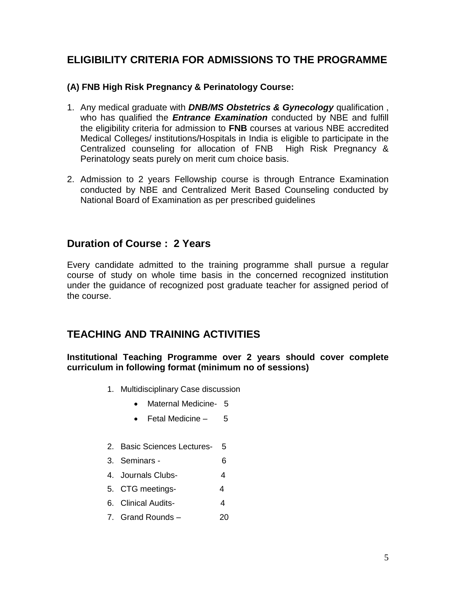# **ELIGIBILITY CRITERIA FOR ADMISSIONS TO THE PROGRAMME**

### **(A) FNB High Risk Pregnancy & Perinatology Course:**

- 1. Any medical graduate with *DNB/MS Obstetrics & Gynecology* qualification , who has qualified the **Entrance Examination** conducted by NBE and fulfill the eligibility criteria for admission to **FNB** courses at various NBE accredited Medical Colleges/ institutions/Hospitals in India is eligible to participate in the Centralized counseling for allocation of FNB High Risk Pregnancy & Perinatology seats purely on merit cum choice basis.
- 2. Admission to 2 years Fellowship course is through Entrance Examination conducted by NBE and Centralized Merit Based Counseling conducted by National Board of Examination as per prescribed guidelines

## **Duration of Course : 2 Years**

Every candidate admitted to the training programme shall pursue a regular course of study on whole time basis in the concerned recognized institution under the guidance of recognized post graduate teacher for assigned period of the course.

# **TEACHING AND TRAINING ACTIVITIES**

#### **Institutional Teaching Programme over 2 years should cover complete curriculum in following format (minimum no of sessions)**

- 1. Multidisciplinary Case discussion
	- Maternal Medicine- 5
	- Fetal Medicine 5
- 2. Basic Sciences Lectures- 5
- 3. Seminars 6
- 4. Journals Clubs- 4
- 5. CTG meetings- 4
- 6. Clinical Audits- 4
- 7. Grand Rounds 20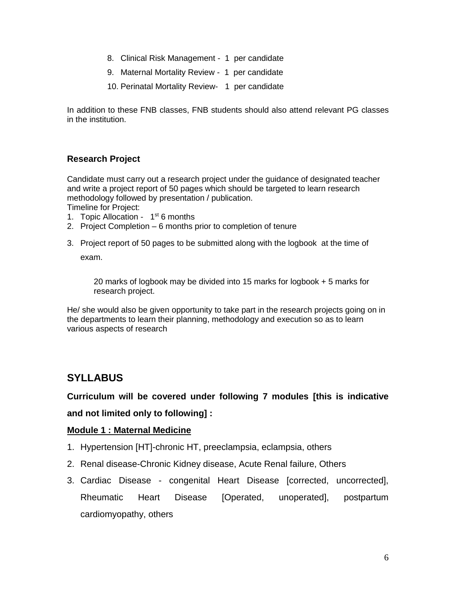- 8. Clinical Risk Management 1 per candidate
- 9. Maternal Mortality Review 1 per candidate
- 10. Perinatal Mortality Review- 1 per candidate

In addition to these FNB classes, FNB students should also attend relevant PG classes in the institution.

#### **Research Project**

Candidate must carry out a research project under the guidance of designated teacher and write a project report of 50 pages which should be targeted to learn research methodology followed by presentation / publication.

Timeline for Project:

- 1. Topic Allocation  $1<sup>st</sup> 6$  months
- 2. Project Completion 6 months prior to completion of tenure
- 3. Project report of 50 pages to be submitted along with the logbook at the time of exam.

20 marks of logbook may be divided into 15 marks for logbook + 5 marks for research project.

He/ she would also be given opportunity to take part in the research projects going on in the departments to learn their planning, methodology and execution so as to learn various aspects of research

## **SYLLABUS**

**Curriculum will be covered under following 7 modules [this is indicative and not limited only to following] :**

#### **Module 1 : Maternal Medicine**

- 1. Hypertension [HT]-chronic HT, preeclampsia, eclampsia, others
- 2. Renal disease-Chronic Kidney disease, Acute Renal failure, Others
- 3. Cardiac Disease congenital Heart Disease [corrected, uncorrected], Rheumatic Heart Disease [Operated, unoperated], postpartum cardiomyopathy, others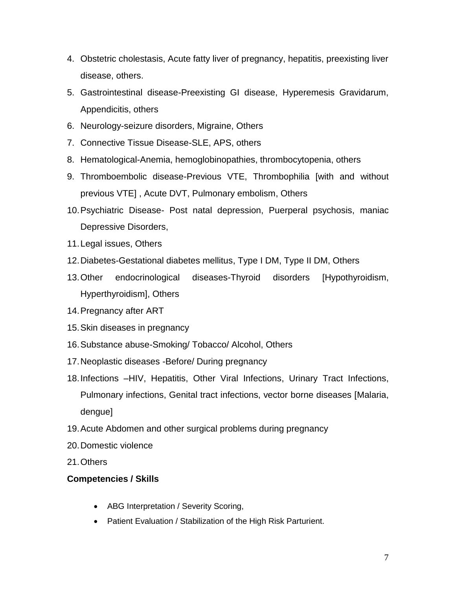- 4. Obstetric cholestasis, Acute fatty liver of pregnancy, hepatitis, preexisting liver disease, others.
- 5. Gastrointestinal disease-Preexisting GI disease, Hyperemesis Gravidarum, Appendicitis, others
- 6. Neurology-seizure disorders, Migraine, Others
- 7. Connective Tissue Disease-SLE, APS, others
- 8. Hematological-Anemia, hemoglobinopathies, thrombocytopenia, others
- 9. Thromboembolic disease-Previous VTE, Thrombophilia [with and without previous VTE] , Acute DVT, Pulmonary embolism, Others
- 10.Psychiatric Disease- Post natal depression, Puerperal psychosis, maniac Depressive Disorders,
- 11.Legal issues, Others
- 12.Diabetes-Gestational diabetes mellitus, Type I DM, Type II DM, Others
- 13.Other endocrinological diseases-Thyroid disorders [Hypothyroidism, Hyperthyroidism], Others
- 14.Pregnancy after ART
- 15.Skin diseases in pregnancy
- 16.Substance abuse-Smoking/ Tobacco/ Alcohol, Others
- 17.Neoplastic diseases -Before/ During pregnancy
- 18.Infections –HIV, Hepatitis, Other Viral Infections, Urinary Tract Infections, Pulmonary infections, Genital tract infections, vector borne diseases [Malaria, dengue]
- 19.Acute Abdomen and other surgical problems during pregnancy
- 20.Domestic violence
- 21.Others

#### **Competencies / Skills**

- ABG Interpretation / Severity Scoring,
- Patient Evaluation / Stabilization of the High Risk Parturient.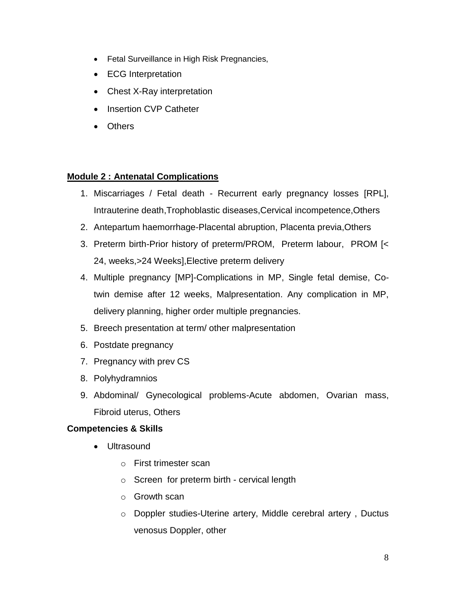- Fetal Surveillance in High Risk Pregnancies,
- ECG Interpretation
- Chest X-Ray interpretation
- Insertion CVP Catheter
- Others

#### **Module 2 : Antenatal Complications**

- 1. Miscarriages / Fetal death Recurrent early pregnancy losses [RPL], Intrauterine death,Trophoblastic diseases,Cervical incompetence,Others
- 2. Antepartum haemorrhage-Placental abruption, Placenta previa,Others
- 3. Preterm birth-Prior history of preterm/PROM, Preterm labour, PROM [< 24, weeks,>24 Weeks],Elective preterm delivery
- 4. Multiple pregnancy [MP]-Complications in MP, Single fetal demise, Cotwin demise after 12 weeks, Malpresentation. Any complication in MP, delivery planning, higher order multiple pregnancies.
- 5. Breech presentation at term/ other malpresentation
- 6. Postdate pregnancy
- 7. Pregnancy with prev CS
- 8. Polyhydramnios
- 9. Abdominal/ Gynecological problems-Acute abdomen, Ovarian mass, Fibroid uterus, Others

#### **Competencies & Skills**

- Ultrasound
	- o First trimester scan
	- o Screen for preterm birth cervical length
	- o Growth scan
	- o Doppler studies-Uterine artery, Middle cerebral artery , Ductus venosus Doppler, other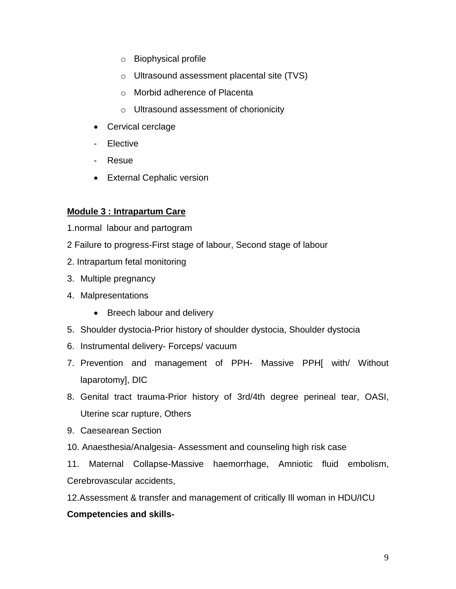- o Biophysical profile
- o Ultrasound assessment placental site (TVS)
- o Morbid adherence of Placenta
- o Ultrasound assessment of chorionicity
- Cervical cerclage
- Elective
- Resue
- External Cephalic version

#### **Module 3 : Intrapartum Care**

1.normal labour and partogram

- 2 Failure to progress-First stage of labour, Second stage of labour
- 2. Intrapartum fetal monitoring
- 3. Multiple pregnancy
- 4. Malpresentations
	- Breech labour and delivery
- 5. Shoulder dystocia-Prior history of shoulder dystocia, Shoulder dystocia
- 6. Instrumental delivery- Forceps/ vacuum
- 7. Prevention and management of PPH- Massive PPH[ with/ Without laparotomy], DIC
- 8. Genital tract trauma-Prior history of 3rd/4th degree perineal tear, OASI, Uterine scar rupture, Others
- 9. Caesearean Section
- 10. Anaesthesia/Analgesia- Assessment and counseling high risk case

11. Maternal Collapse-Massive haemorrhage, Amniotic fluid embolism, Cerebrovascular accidents,

12.Assessment & transfer and management of critically Ill woman in HDU/ICU

#### **Competencies and skills-**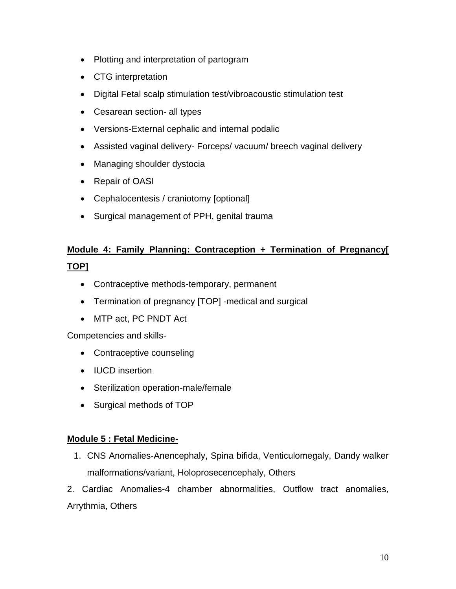- Plotting and interpretation of partogram
- CTG interpretation
- Digital Fetal scalp stimulation test/vibroacoustic stimulation test
- Cesarean section- all types
- Versions-External cephalic and internal podalic
- Assisted vaginal delivery- Forceps/ vacuum/ breech vaginal delivery
- Managing shoulder dystocia
- Repair of OASI
- Cephalocentesis / craniotomy [optional]
- Surgical management of PPH, genital trauma

# **Module 4: Family Planning: Contraception + Termination of Pregnancy[ TOP]**

- Contraceptive methods-temporary, permanent
- Termination of pregnancy [TOP] -medical and surgical
- MTP act, PC PNDT Act

Competencies and skills-

- Contraceptive counseling
- IUCD insertion
- Sterilization operation-male/female
- Surgical methods of TOP

### **Module 5 : Fetal Medicine-**

- 1. CNS Anomalies-Anencephaly, Spina bifida, Venticulomegaly, Dandy walker malformations/variant, Holoprosecencephaly, Others
- 2. Cardiac Anomalies-4 chamber abnormalities, Outflow tract anomalies, Arrythmia, Others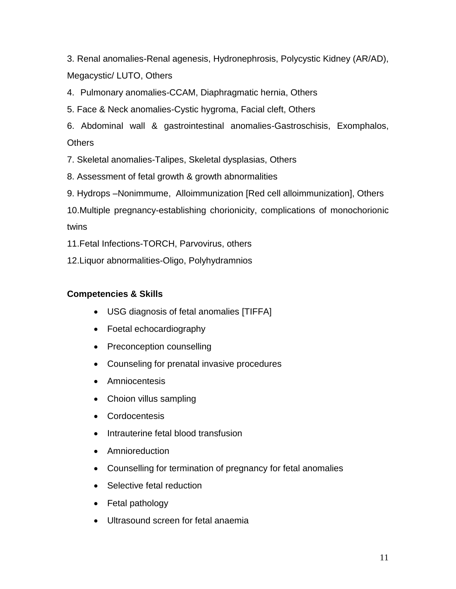3. Renal anomalies-Renal agenesis, Hydronephrosis, Polycystic Kidney (AR/AD), Megacystic/ LUTO, Others

4. Pulmonary anomalies-CCAM, Diaphragmatic hernia, Others

5. Face & Neck anomalies-Cystic hygroma, Facial cleft, Others

6. Abdominal wall & gastrointestinal anomalies-Gastroschisis, Exomphalos, **Others** 

7. Skeletal anomalies-Talipes, Skeletal dysplasias, Others

8. Assessment of fetal growth & growth abnormalities

9. Hydrops –Nonimmume, Alloimmunization [Red cell alloimmunization], Others

10.Multiple pregnancy-establishing chorionicity, complications of monochorionic twins

11.Fetal Infections-TORCH, Parvovirus, others

12.Liquor abnormalities-Oligo, Polyhydramnios

## **Competencies & Skills**

- USG diagnosis of fetal anomalies [TIFFA]
- Foetal echocardiography
- Preconception counselling
- Counseling for prenatal invasive procedures
- Amniocentesis
- Choion villus sampling
- Cordocentesis
- Intrauterine fetal blood transfusion
- Amnioreduction
- Counselling for termination of pregnancy for fetal anomalies
- Selective fetal reduction
- Fetal pathology
- Ultrasound screen for fetal anaemia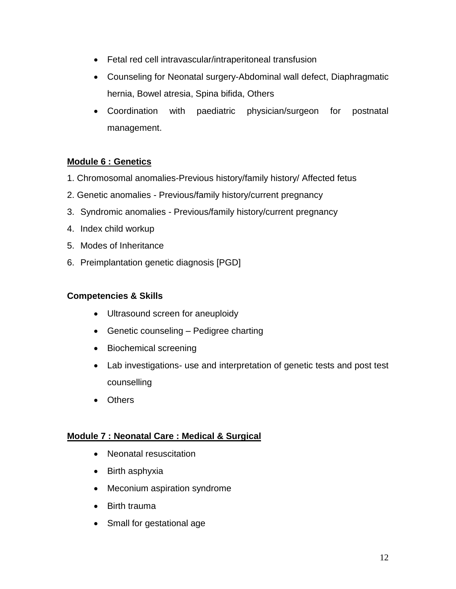- Fetal red cell intravascular/intraperitoneal transfusion
- Counseling for Neonatal surgery-Abdominal wall defect, Diaphragmatic hernia, Bowel atresia, Spina bifida, Others
- Coordination with paediatric physician/surgeon for postnatal management.

## **Module 6 : Genetics**

- 1. Chromosomal anomalies-Previous history/family history/ Affected fetus
- 2. Genetic anomalies Previous/family history/current pregnancy
- 3. Syndromic anomalies Previous/family history/current pregnancy
- 4. Index child workup
- 5. Modes of Inheritance
- 6. Preimplantation genetic diagnosis [PGD]

### **Competencies & Skills**

- Ultrasound screen for aneuploidy
- Genetic counseling Pedigree charting
- Biochemical screening
- Lab investigations- use and interpretation of genetic tests and post test counselling
- Others

#### **Module 7 : Neonatal Care : Medical & Surgical**

- Neonatal resuscitation
- Birth asphyxia
- Meconium aspiration syndrome
- Birth trauma
- Small for gestational age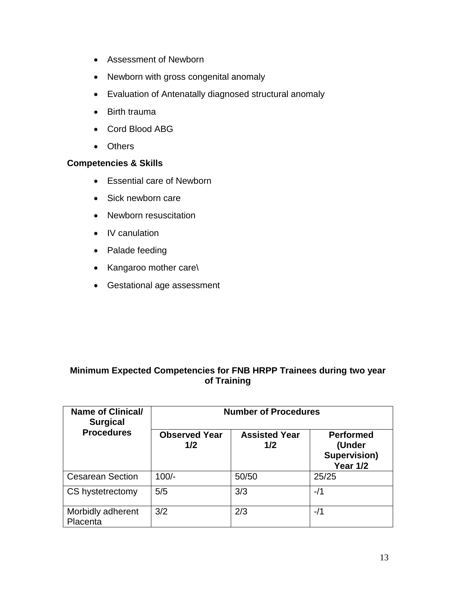- Assessment of Newborn
- Newborn with gross congenital anomaly
- Evaluation of Antenatally diagnosed structural anomaly
- Birth trauma
- Cord Blood ABG
- Others

## **Competencies & Skills**

- Essential care of Newborn
- Sick newborn care
- Newborn resuscitation
- IV canulation
- Palade feeding
- Kangaroo mother care\
- Gestational age assessment

## **Minimum Expected Competencies for FNB HRPP Trainees during two year of Training**

| <b>Name of Clinical/</b><br><b>Surgical</b> | <b>Number of Procedures</b> |                             |                                                                      |  |
|---------------------------------------------|-----------------------------|-----------------------------|----------------------------------------------------------------------|--|
| <b>Procedures</b>                           | <b>Observed Year</b><br>1/2 | <b>Assisted Year</b><br>1/2 | <b>Performed</b><br>(Under<br><b>Supervision)</b><br><b>Year 1/2</b> |  |
| <b>Cesarean Section</b>                     | $100/-$                     | 50/50                       | 25/25                                                                |  |
| CS hystetrectomy                            | 5/5                         | 3/3                         | $-11$                                                                |  |
| Morbidly adherent<br>Placenta               | 3/2                         | 2/3                         | -/1                                                                  |  |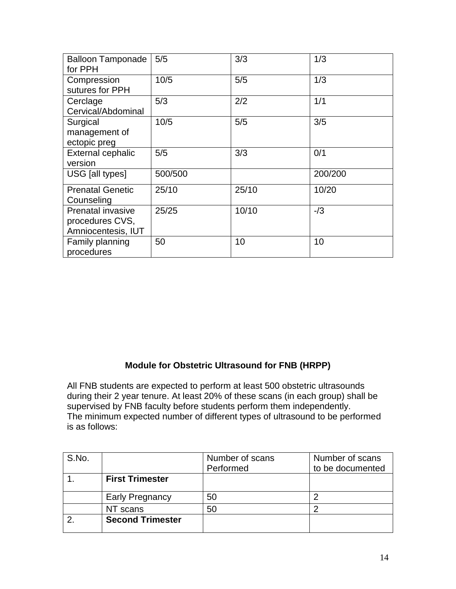| <b>Balloon Tamponade</b><br>for PPH                               | 5/5     | 3/3   | 1/3     |
|-------------------------------------------------------------------|---------|-------|---------|
| Compression<br>sutures for PPH                                    | 10/5    | 5/5   | 1/3     |
| Cerclage<br>Cervical/Abdominal                                    | 5/3     | 2/2   | 1/1     |
| Surgical<br>management of<br>ectopic preg                         | 10/5    | 5/5   | 3/5     |
| <b>External cephalic</b><br>version                               | 5/5     | 3/3   | 0/1     |
| USG [all types]                                                   | 500/500 |       | 200/200 |
| <b>Prenatal Genetic</b><br>Counseling                             | 25/10   | 25/10 | 10/20   |
| <b>Prenatal invasive</b><br>procedures CVS,<br>Amniocentesis, IUT | 25/25   | 10/10 | $-13$   |
| Family planning<br>procedures                                     | 50      | 10    | 10      |

## **Module for Obstetric Ultrasound for FNB (HRPP)**

All FNB students are expected to perform at least 500 obstetric ultrasounds during their 2 year tenure. At least 20% of these scans (in each group) shall be supervised by FNB faculty before students perform them independently. The minimum expected number of different types of ultrasound to be performed is as follows:

| S.No. |                         | Number of scans | Number of scans  |
|-------|-------------------------|-----------------|------------------|
|       |                         | Performed       | to be documented |
|       | <b>First Trimester</b>  |                 |                  |
|       | <b>Early Pregnancy</b>  | 50              |                  |
|       | NT scans                | 50              |                  |
|       | <b>Second Trimester</b> |                 |                  |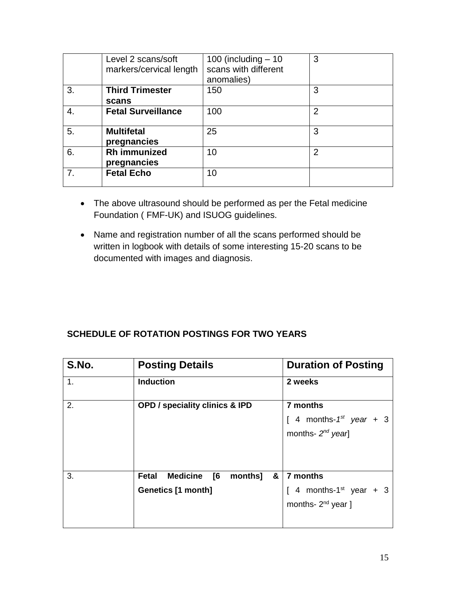|    | Level 2 scans/soft        | 100 (including $-10$ | 3              |
|----|---------------------------|----------------------|----------------|
|    | markers/cervical length   | scans with different |                |
|    |                           | anomalies)           |                |
| 3. | <b>Third Trimester</b>    | 150                  | 3              |
|    | scans                     |                      |                |
| 4. | <b>Fetal Surveillance</b> | 100                  | 2              |
|    |                           |                      |                |
| 5. | <b>Multifetal</b>         | 25                   | 3              |
|    | pregnancies               |                      |                |
| 6. | <b>Rh</b> immunized       | 10                   | $\overline{2}$ |
|    | pregnancies               |                      |                |
| 7. | <b>Fetal Echo</b>         | 10                   |                |
|    |                           |                      |                |

- The above ultrasound should be performed as per the Fetal medicine Foundation ( FMF-UK) and ISUOG guidelines.
- Name and registration number of all the scans performed should be written in logbook with details of some interesting 15-20 scans to be documented with images and diagnosis.

## **SCHEDULE OF ROTATION POSTINGS FOR TWO YEARS**

| S.No. | <b>Posting Details</b>                                 | <b>Duration of Posting</b>        |  |  |
|-------|--------------------------------------------------------|-----------------------------------|--|--|
| 1.    | <b>Induction</b>                                       | 2 weeks                           |  |  |
| 2.    | <b>OPD / speciality clinics &amp; IPD</b>              | 7 months                          |  |  |
|       |                                                        | [ 4 months- $1^{st}$ year + 3     |  |  |
|       |                                                        | months- $2^{nd}$ year]            |  |  |
|       |                                                        |                                   |  |  |
|       |                                                        |                                   |  |  |
| 3.    | <b>Medicine</b><br>$\sqrt{6}$<br>months]<br>Fetal<br>& | 7 months                          |  |  |
|       | <b>Genetics [1 month]</b>                              | 4 months-1 <sup>st</sup> year + 3 |  |  |
|       |                                                        | months- $2^{nd}$ year ]           |  |  |
|       |                                                        |                                   |  |  |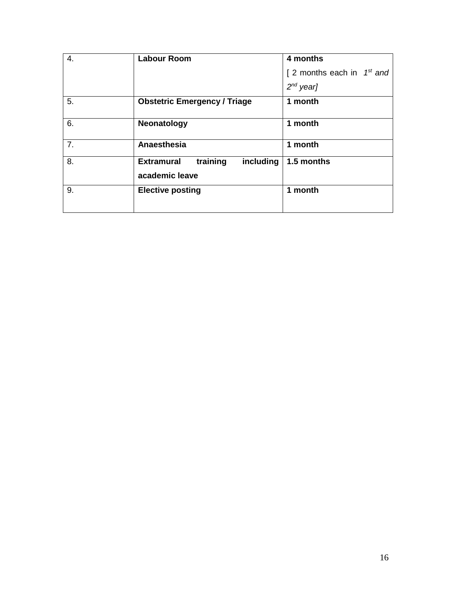| 4.             | <b>Labour Room</b>                                           | 4 months                        |
|----------------|--------------------------------------------------------------|---------------------------------|
|                |                                                              | [ 2 months each in $1^{st}$ and |
|                |                                                              | $2^{nd}$ year]                  |
| 5.             | <b>Obstetric Emergency / Triage</b>                          | 1 month                         |
| 6.             | Neonatology                                                  | 1 month                         |
| 7 <sub>1</sub> | Anaesthesia                                                  | 1 month                         |
| 8.             | training<br>including<br><b>Extramural</b><br>academic leave | 1.5 months                      |
| 9.             | <b>Elective posting</b>                                      | 1 month                         |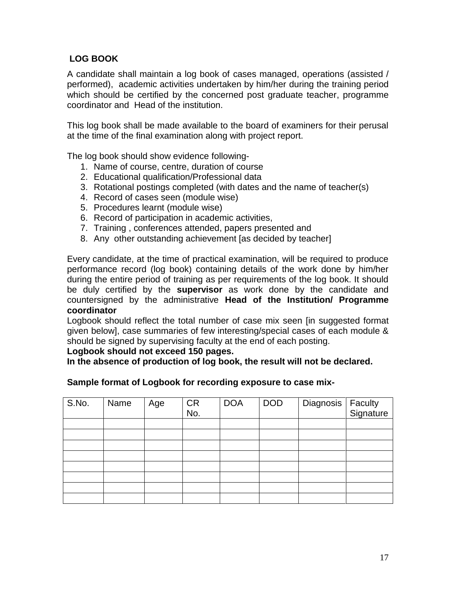## **LOG BOOK**

A candidate shall maintain a log book of cases managed, operations (assisted / performed), academic activities undertaken by him/her during the training period which should be certified by the concerned post graduate teacher, programme coordinator and Head of the institution.

This log book shall be made available to the board of examiners for their perusal at the time of the final examination along with project report.

The log book should show evidence following-

- 1. Name of course, centre, duration of course
- 2. Educational qualification/Professional data
- 3. Rotational postings completed (with dates and the name of teacher(s)
- 4. Record of cases seen (module wise)
- 5. Procedures learnt (module wise)
- 6. Record of participation in academic activities,
- 7. Training , conferences attended, papers presented and
- 8. Any other outstanding achievement [as decided by teacher]

Every candidate, at the time of practical examination, will be required to produce performance record (log book) containing details of the work done by him/her during the entire period of training as per requirements of the log book. It should be duly certified by the **supervisor** as work done by the candidate and countersigned by the administrative **Head of the Institution/ Programme coordinator**

Logbook should reflect the total number of case mix seen [in suggested format given below], case summaries of few interesting/special cases of each module & should be signed by supervising faculty at the end of each posting.

#### **Logbook should not exceed 150 pages.**

**In the absence of production of log book, the result will not be declared.**

# **Sample format of Logbook for recording exposure to case mix-**

| S.No. | Name | Age | <b>CR</b> | <b>DOA</b> | <b>DOD</b> | Diagnosis | Faculty<br>Signature |
|-------|------|-----|-----------|------------|------------|-----------|----------------------|
|       |      |     | No.       |            |            |           |                      |
|       |      |     |           |            |            |           |                      |
|       |      |     |           |            |            |           |                      |
|       |      |     |           |            |            |           |                      |
|       |      |     |           |            |            |           |                      |
|       |      |     |           |            |            |           |                      |
|       |      |     |           |            |            |           |                      |
|       |      |     |           |            |            |           |                      |
|       |      |     |           |            |            |           |                      |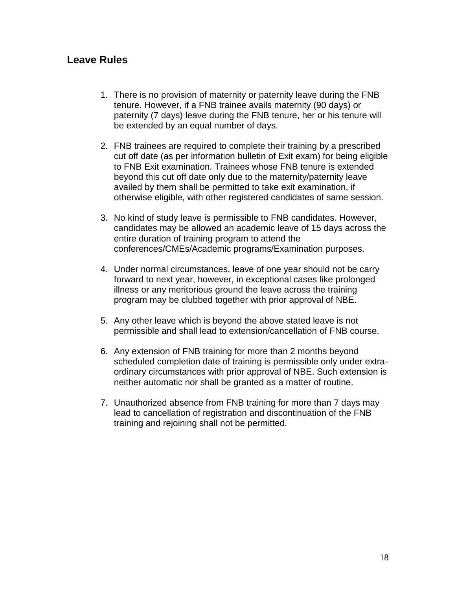## **Leave Rules**

- 1. There is no provision of maternity or paternity leave during the FNB tenure. However, if a FNB trainee avails maternity (90 days) or paternity (7 days) leave during the FNB tenure, her or his tenure will be extended by an equal number of days.
- 2. FNB trainees are required to complete their training by a prescribed cut off date (as per information bulletin of Exit exam) for being eligible to FNB Exit examination. Trainees whose FNB tenure is extended beyond this cut off date only due to the maternity/paternity leave availed by them shall be permitted to take exit examination, if otherwise eligible, with other registered candidates of same session.
- 3. No kind of study leave is permissible to FNB candidates. However, candidates may be allowed an academic leave of 15 days across the entire duration of training program to attend the conferences/CMEs/Academic programs/Examination purposes.
- 4. Under normal circumstances, leave of one year should not be carry forward to next year, however, in exceptional cases like prolonged illness or any meritorious ground the leave across the training program may be clubbed together with prior approval of NBE.
- 5. Any other leave which is beyond the above stated leave is not permissible and shall lead to extension/cancellation of FNB course.
- 6. Any extension of FNB training for more than 2 months beyond scheduled completion date of training is permissible only under extraordinary circumstances with prior approval of NBE. Such extension is neither automatic nor shall be granted as a matter of routine.
- 7. Unauthorized absence from FNB training for more than 7 days may lead to cancellation of registration and discontinuation of the FNB training and rejoining shall not be permitted.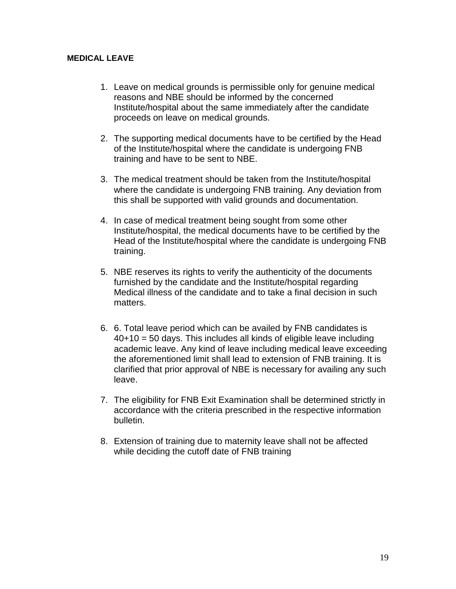#### **MEDICAL LEAVE**

- 1. Leave on medical grounds is permissible only for genuine medical reasons and NBE should be informed by the concerned Institute/hospital about the same immediately after the candidate proceeds on leave on medical grounds.
- 2. The supporting medical documents have to be certified by the Head of the Institute/hospital where the candidate is undergoing FNB training and have to be sent to NBE.
- 3. The medical treatment should be taken from the Institute/hospital where the candidate is undergoing FNB training. Any deviation from this shall be supported with valid grounds and documentation.
- 4. In case of medical treatment being sought from some other Institute/hospital, the medical documents have to be certified by the Head of the Institute/hospital where the candidate is undergoing FNB training.
- 5. NBE reserves its rights to verify the authenticity of the documents furnished by the candidate and the Institute/hospital regarding Medical illness of the candidate and to take a final decision in such matters.
- 6. 6. Total leave period which can be availed by FNB candidates is 40+10 = 50 days. This includes all kinds of eligible leave including academic leave. Any kind of leave including medical leave exceeding the aforementioned limit shall lead to extension of FNB training. It is clarified that prior approval of NBE is necessary for availing any such leave.
- 7. The eligibility for FNB Exit Examination shall be determined strictly in accordance with the criteria prescribed in the respective information bulletin.
- 8. Extension of training due to maternity leave shall not be affected while deciding the cutoff date of FNB training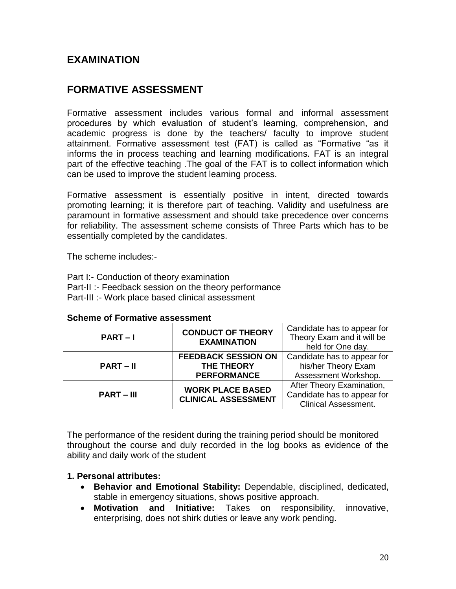## **EXAMINATION**

# **FORMATIVE ASSESSMENT**

Formative assessment includes various formal and informal assessment procedures by which evaluation of student's learning, comprehension, and academic progress is done by the teachers/ faculty to improve student attainment. Formative assessment test (FAT) is called as "Formative "as it informs the in process teaching and learning modifications. FAT is an integral part of the effective teaching .The goal of the FAT is to collect information which can be used to improve the student learning process.

Formative assessment is essentially positive in intent, directed towards promoting learning; it is therefore part of teaching. Validity and usefulness are paramount in formative assessment and should take precedence over concerns for reliability. The assessment scheme consists of Three Parts which has to be essentially completed by the candidates.

The scheme includes:-

Part I:- Conduction of theory examination Part-II :- Feedback session on the theory performance Part-III :- Work place based clinical assessment

|              | <b>CONDUCT OF THEORY</b>   | Candidate has to appear for |  |
|--------------|----------------------------|-----------------------------|--|
| $PART-I$     | <b>EXAMINATION</b>         | Theory Exam and it will be  |  |
|              |                            | held for One day.           |  |
|              | <b>FEEDBACK SESSION ON</b> | Candidate has to appear for |  |
| $PART - II$  | <b>THE THEORY</b>          | his/her Theory Exam         |  |
|              | <b>PERFORMANCE</b>         | Assessment Workshop.        |  |
|              | <b>WORK PLACE BASED</b>    | After Theory Examination,   |  |
| $PART - III$ | <b>CLINICAL ASSESSMENT</b> | Candidate has to appear for |  |
|              |                            | <b>Clinical Assessment.</b> |  |

#### **Scheme of Formative assessment**

The performance of the resident during the training period should be monitored throughout the course and duly recorded in the log books as evidence of the ability and daily work of the student

#### **1. Personal attributes:**

- **Behavior and Emotional Stability:** Dependable, disciplined, dedicated, stable in emergency situations, shows positive approach.
- **Motivation and Initiative:** Takes on responsibility, innovative, enterprising, does not shirk duties or leave any work pending.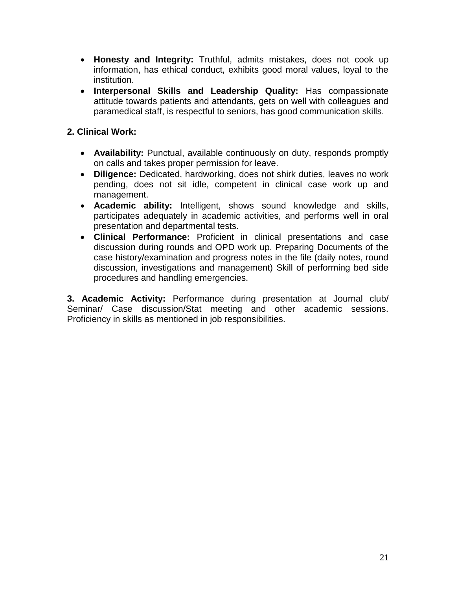- **Honesty and Integrity:** Truthful, admits mistakes, does not cook up information, has ethical conduct, exhibits good moral values, loyal to the institution.
- **Interpersonal Skills and Leadership Quality:** Has compassionate attitude towards patients and attendants, gets on well with colleagues and paramedical staff, is respectful to seniors, has good communication skills.

### **2. Clinical Work:**

- **Availability:** Punctual, available continuously on duty, responds promptly on calls and takes proper permission for leave.
- **Diligence:** Dedicated, hardworking, does not shirk duties, leaves no work pending, does not sit idle, competent in clinical case work up and management.
- **Academic ability:** Intelligent, shows sound knowledge and skills, participates adequately in academic activities, and performs well in oral presentation and departmental tests.
- **Clinical Performance:** Proficient in clinical presentations and case discussion during rounds and OPD work up. Preparing Documents of the case history/examination and progress notes in the file (daily notes, round discussion, investigations and management) Skill of performing bed side procedures and handling emergencies.

**3. Academic Activity:** Performance during presentation at Journal club/ Seminar/ Case discussion/Stat meeting and other academic sessions. Proficiency in skills as mentioned in job responsibilities.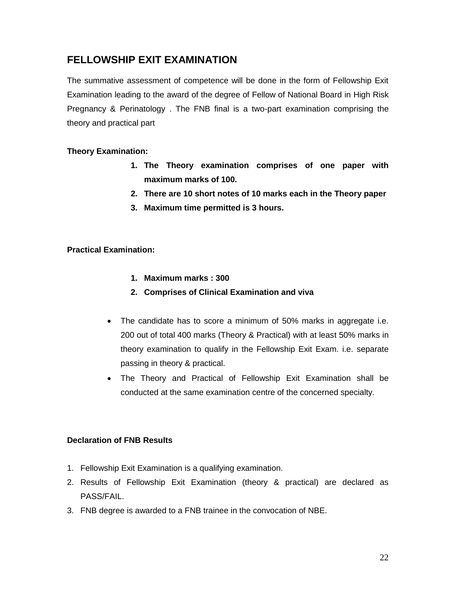## **FELLOWSHIP EXIT EXAMINATION**

The summative assessment of competence will be done in the form of Fellowship Exit Examination leading to the award of the degree of Fellow of National Board in High Risk Pregnancy & Perinatology . The FNB final is a two-part examination comprising the theory and practical part

#### **Theory Examination:**

- **1. The Theory examination comprises of one paper with maximum marks of 100.**
- **2. There are 10 short notes of 10 marks each in the Theory paper**
- **3. Maximum time permitted is 3 hours.**

#### **Practical Examination:**

- **1. Maximum marks : 300**
- **2. Comprises of Clinical Examination and viva**
- The candidate has to score a minimum of 50% marks in aggregate i.e. 200 out of total 400 marks (Theory & Practical) with at least 50% marks in theory examination to qualify in the Fellowship Exit Exam. i.e. separate passing in theory & practical.
- The Theory and Practical of Fellowship Exit Examination shall be conducted at the same examination centre of the concerned specialty.

#### **Declaration of FNB Results**

- 1. Fellowship Exit Examination is a qualifying examination.
- 2. Results of Fellowship Exit Examination (theory & practical) are declared as PASS/FAIL.
- 3. FNB degree is awarded to a FNB trainee in the convocation of NBE.